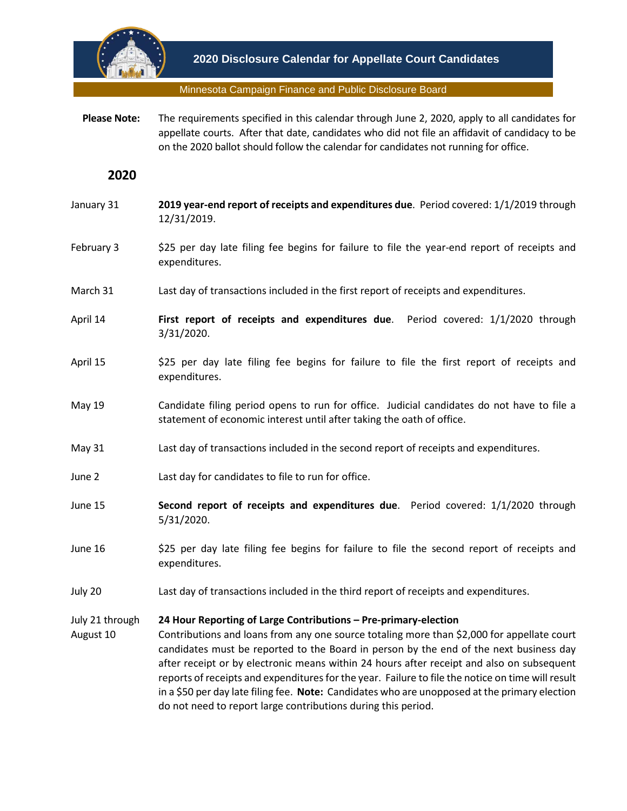

### Minnesota Campaign Finance and Public Disclosure Board

 **Please Note:** The requirements specified in this calendar through June 2, 2020, apply to all candidates for appellate courts. After that date, candidates who did not file an affidavit of candidacy to be on the 2020 ballot should follow the calendar for candidates not running for office.

# **2020**

- January 31 **2019 year-end report of receipts and expenditures due**. Period covered: 1/1/2019 through 12/31/2019.
- February 3 \$25 per day late filing fee begins for failure to file the year-end report of receipts and expenditures.
- March 31 Last day of transactions included in the first report of receipts and expenditures.
- April 14 **First report of receipts and expenditures due**. Period covered: 1/1/2020 through 3/31/2020.
- April 15 \$25 per day late filing fee begins for failure to file the first report of receipts and expenditures.
- May 19 Candidate filing period opens to run for office. Judicial candidates do not have to file a statement of economic interest until after taking the oath of office.
- May 31 Last day of transactions included in the second report of receipts and expenditures.
- June 2 Last day for candidates to file to run for office.
- June 15 **Second report of receipts and expenditures due**. Period covered: 1/1/2020 through 5/31/2020.
- June 16 \$25 per day late filing fee begins for failure to file the second report of receipts and expenditures.
- July 20 Last day of transactions included in the third report of receipts and expenditures.

#### July 21 through **24 Hour Reporting of Large Contributions – Pre-primary-election**

August 10 Contributions and loans from any one source totaling more than \$2,000 for appellate court candidates must be reported to the Board in person by the end of the next business day after receipt or by electronic means within 24 hours after receipt and also on subsequent reports of receipts and expendituresfor the year. Failure to file the notice on time will result in a \$50 per day late filing fee. **Note:** Candidates who are unopposed at the primary election do not need to report large contributions during this period.